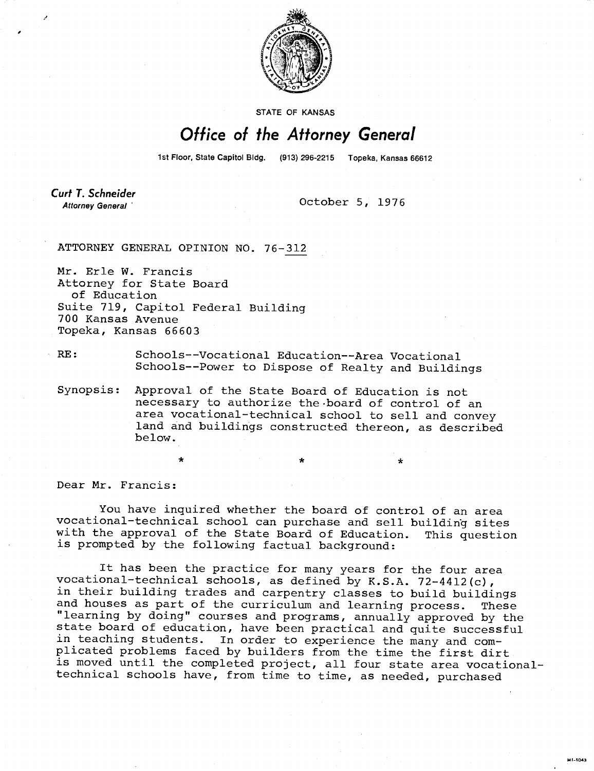

STATE OF KANSAS

## Office of the Attorney General

1st Floor, State Capitol Bldg. (913) 296-2215 Topeka, Kansas 66612

**Curt T. Schneider** Attorney General

October 5, 1976

ATTORNEY GENERAL OPINION NO. 76-312

Mr. Erle W. Francis Attorney for State Board of Education Suite 719, Capitol Federal Building 700 Kansas Avenue Topeka, Kansas 66603

## RE: Schools--Vocational Education--Area Vocational Schools--Power to Dispose of Realty and Buildings

Synopsis: Approval of the State Board of Education is not necessary to authorize the board of control of an area vocational-technical school to sell and convey land and buildings constructed thereon, as described below.

Dear Mr. Francis:

You have inquired whether the board of control of an area vocational-technical school can purchase and sell building sites with the approval of the State Board of Education. This question is prompted by the following factual background:

It has been the practice for many years for the four area vocational-technical schools, as defined by K.S.A. 72-4412(c), in their building trades and carpentry classes to build buildings and houses as part of the curriculum and learning process. These "learning by doing" courses and programs, annually approved by the state board of education, have been practical and quite successful in teaching students. In order to experience the many and complicated problems faced by builders from the time the first dirt is moved until the completed project, all four state area vocationaltechnical schools have, from time to time, as needed, purchased

MILTOAN.